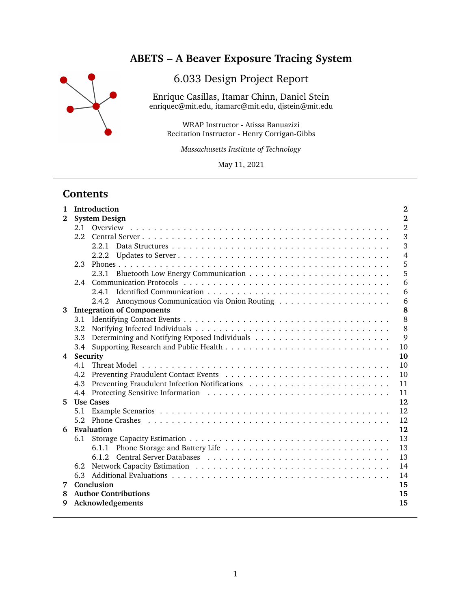

# **ABETS – A Beaver Exposure Tracing System**

# 6.033 Design Project Report

Enrique Casillas, Itamar Chinn, Daniel Stein enriquec@mit.edu, itamarc@mit.edu, djstein@mit.edu

WRAP Instructor - Atissa Banuazizi Recitation Instructor - Henry Corrigan-Gibbs

*Massachusetts Institute of Technology*

May 11, 2021

## **Contents**

| 1<br>$\mathbf{2}$ | Introduction<br>$\bf{2}$<br><b>System Design</b><br>$\mathbf 2$ |                |  |  |  |  |
|-------------------|-----------------------------------------------------------------|----------------|--|--|--|--|
|                   | 2.1                                                             | $\overline{2}$ |  |  |  |  |
|                   | 2.2                                                             | 3              |  |  |  |  |
|                   | 2.2.1                                                           | 3              |  |  |  |  |
|                   | 2.2.2                                                           | 4              |  |  |  |  |
|                   | 2.3                                                             | 5              |  |  |  |  |
|                   | 2.3.1                                                           | 5              |  |  |  |  |
|                   | 2.4                                                             | 6              |  |  |  |  |
|                   | 2.4.1                                                           | 6              |  |  |  |  |
|                   | 2.4.2                                                           | 6              |  |  |  |  |
| 3                 | <b>Integration of Components</b>                                | 8              |  |  |  |  |
|                   | 3.1                                                             | 8              |  |  |  |  |
|                   | 3.2                                                             | 8              |  |  |  |  |
|                   | 3.3                                                             | 9              |  |  |  |  |
|                   | 3.4                                                             | 10             |  |  |  |  |
| 4                 | Security                                                        | 10             |  |  |  |  |
|                   | 4.1                                                             | 10             |  |  |  |  |
|                   | 4.2                                                             | 10             |  |  |  |  |
|                   | 4.3                                                             | 11             |  |  |  |  |
|                   | 4.4                                                             | 11             |  |  |  |  |
| 5.                | <b>Use Cases</b>                                                | 12             |  |  |  |  |
|                   | 5.1                                                             | 12             |  |  |  |  |
|                   | Phone Crashes<br>5.2                                            | 12             |  |  |  |  |
| 6                 | Evaluation<br>12                                                |                |  |  |  |  |
|                   | 6.1                                                             | 13             |  |  |  |  |
|                   |                                                                 | 13             |  |  |  |  |
|                   | 6.1.2                                                           | 13             |  |  |  |  |
|                   | 6.2                                                             | 14             |  |  |  |  |
|                   | 6.3                                                             | 14             |  |  |  |  |
| 7                 | Conclusion<br>15                                                |                |  |  |  |  |
| 8                 | <b>Author Contributions</b><br>15                               |                |  |  |  |  |
| 9                 | Acknowledgements                                                | 15             |  |  |  |  |
|                   |                                                                 |                |  |  |  |  |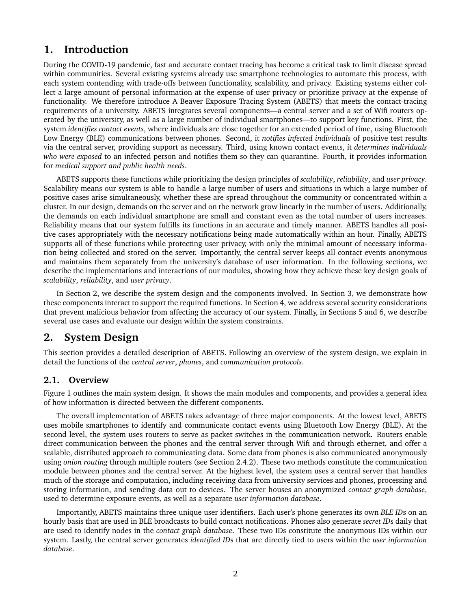## **1. Introduction**

During the COVID-19 pandemic, fast and accurate contact tracing has become a critical task to limit disease spread within communities. Several existing systems already use smartphone technologies to automate this process, with each system contending with trade-offs between functionality, scalability, and privacy. Existing systems either collect a large amount of personal information at the expense of user privacy or prioritize privacy at the expense of functionality. We therefore introduce A Beaver Exposure Tracing System (ABETS) that meets the contact-tracing requirements of a university. ABETS integrates several components—a central server and a set of Wifi routers operated by the university, as well as a large number of individual smartphones—to support key functions. First, the system *identifies contact events*, where individuals are close together for an extended period of time, using Bluetooth Low Energy (BLE) communications between phones. Second, it *notifies infected individuals* of positive test results via the central server, providing support as necessary. Third, using known contact events, it *determines individuals who were exposed* to an infected person and notifies them so they can quarantine. Fourth, it provides information for *medical support and public health needs*.

ABETS supports these functions while prioritizing the design principles of *scalability*, *reliability*, and *user privacy*. Scalability means our system is able to handle a large number of users and situations in which a large number of positive cases arise simultaneously, whether these are spread throughout the community or concentrated within a cluster. In our design, demands on the server and on the network grow linearly in the number of users. Additionally, the demands on each individual smartphone are small and constant even as the total number of users increases. Reliability means that our system fulfills its functions in an accurate and timely manner. ABETS handles all positive cases appropriately with the necessary notifications being made automatically within an hour. Finally, ABETS supports all of these functions while protecting user privacy, with only the minimal amount of necessary information being collected and stored on the server. Importantly, the central server keeps all contact events anonymous and maintains them separately from the university's database of user information. In the following sections, we describe the implementations and interactions of our modules, showing how they achieve these key design goals of *scalability*, *reliability*, and *user privacy*.

In Section 2, we describe the system design and the components involved. In Section 3, we demonstrate how these components interact to support the required functions. In Section 4, we address several security considerations that prevent malicious behavior from affecting the accuracy of our system. Finally, in Sections 5 and 6, we describe several use cases and evaluate our design within the system constraints.

## **2. System Design**

This section provides a detailed description of ABETS. Following an overview of the system design, we explain in detail the functions of the *central server*, *phones*, and *communication protocols*.

### **2.1. Overview**

Figure 1 outlines the main system design. It shows the main modules and components, and provides a general idea of how information is directed between the different components.

The overall implementation of ABETS takes advantage of three major components. At the lowest level, ABETS uses mobile smartphones to identify and communicate contact events using Bluetooth Low Energy (BLE). At the second level, the system uses routers to serve as packet switches in the communication network. Routers enable direct communication between the phones and the central server through Wifi and through ethernet, and offer a scalable, distributed approach to communicating data. Some data from phones is also communicated anonymously using *onion routing* through multiple routers (see Section 2.4.2). These two methods constitute the communication module between phones and the central server. At the highest level, the system uses a central server that handles much of the storage and computation, including receiving data from university services and phones, processing and storing information, and sending data out to devices. The server houses an anonymized *contact graph database*, used to determine exposure events, as well as a separate *user information database*.

Importantly, ABETS maintains three unique user identifiers. Each user's phone generates its own *BLE ID*s on an hourly basis that are used in BLE broadcasts to build contact notifications. Phones also generate *secret ID*s daily that are used to identify nodes in the *contact graph database*. These two IDs constitute the anonymous IDs within our system. Lastly, the central server generates *identified ID*s that are directly tied to users within the *user information database*.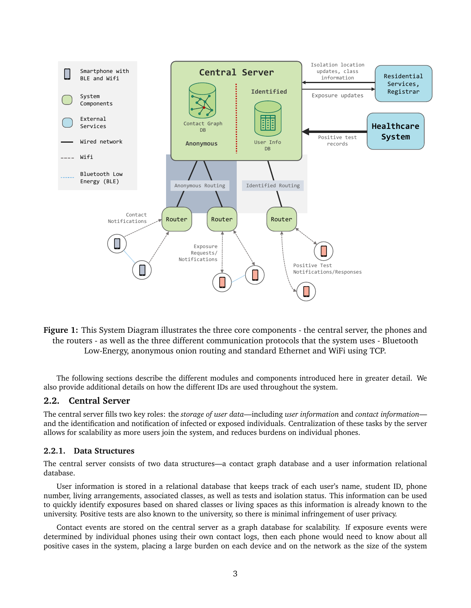

**Figure 1:** This System Diagram illustrates the three core components - the central server, the phones and the routers - as well as the three different communication protocols that the system uses - Bluetooth Low-Energy, anonymous onion routing and standard Ethernet and WiFi using TCP.

The following sections describe the different modules and components introduced here in greater detail. We also provide additional details on how the different IDs are used throughout the system.

#### **2.2. Central Server**

The central server fills two key roles: the *storage of user data*—including *user information* and *contact information* and the identification and notification of infected or exposed individuals. Centralization of these tasks by the server allows for scalability as more users join the system, and reduces burdens on individual phones.

#### **2.2.1. Data Structures**

The central server consists of two data structures—a contact graph database and a user information relational database.

User information is stored in a relational database that keeps track of each user's name, student ID, phone number, living arrangements, associated classes, as well as tests and isolation status. This information can be used to quickly identify exposures based on shared classes or living spaces as this information is already known to the university. Positive tests are also known to the university, so there is minimal infringement of user privacy.

Contact events are stored on the central server as a graph database for scalability. If exposure events were determined by individual phones using their own contact logs, then each phone would need to know about all positive cases in the system, placing a large burden on each device and on the network as the size of the system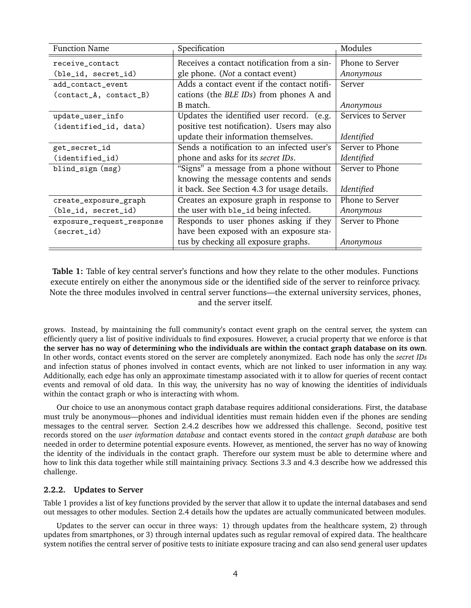| <b>Function Name</b>      | Specification                               | Modules            |
|---------------------------|---------------------------------------------|--------------------|
| receive_contact           | Receives a contact notification from a sin- | Phone to Server    |
| (ble_id, secret_id)       | gle phone. ( <i>Not</i> a contact event)    | Anonymous          |
| add_contact_event         | Adds a contact event if the contact notifi- | Server             |
| (contact_A, contact_B)    | cations (the BLE IDs) from phones A and     |                    |
|                           | B match.                                    | Anonymous          |
| update_user_info          | Updates the identified user record. (e.g.   | Services to Server |
| (identified_id, data)     | positive test notification). Users may also |                    |
|                           | update their information themselves.        | Identified         |
| get_secret_id             | Sends a notification to an infected user's  | Server to Phone    |
| (identified_id)           | phone and asks for its secret IDs.          | Identified         |
| blind_sign (msg)          | "Signs" a message from a phone without      | Server to Phone    |
|                           | knowing the message contents and sends      |                    |
|                           | it back. See Section 4.3 for usage details. | Identified         |
| create_exposure_graph     | Creates an exposure graph in response to    | Phone to Server    |
| (ble_id, secret_id)       | the user with ble_id being infected.        | Anonymous          |
| exposure_request_response | Responds to user phones asking if they      | Server to Phone    |
| (secret_id)               | have been exposed with an exposure sta-     |                    |
|                           | tus by checking all exposure graphs.        | Anonymous          |

**Table 1:** Table of key central server's functions and how they relate to the other modules. Functions execute entirely on either the anonymous side or the identified side of the server to reinforce privacy. Note the three modules involved in central server functions—the external university services, phones, and the server itself.

grows. Instead, by maintaining the full community's contact event graph on the central server, the system can efficiently query a list of positive individuals to find exposures. However, a crucial property that we enforce is that **the server has no way of determining who the individuals are within the contact graph database on its own**. In other words, contact events stored on the server are completely anonymized. Each node has only the *secret IDs* and infection status of phones involved in contact events, which are not linked to user information in any way. Additionally, each edge has only an approximate timestamp associated with it to allow for queries of recent contact events and removal of old data. In this way, the university has no way of knowing the identities of individuals within the contact graph or who is interacting with whom.

Our choice to use an anonymous contact graph database requires additional considerations. First, the database must truly be anonymous—phones and individual identities must remain hidden even if the phones are sending messages to the central server. Section 2.4.2 describes how we addressed this challenge. Second, positive test records stored on the *user information database* and contact events stored in the *contact graph database* are both needed in order to determine potential exposure events. However, as mentioned, the server has no way of knowing the identity of the individuals in the contact graph. Therefore our system must be able to determine where and how to link this data together while still maintaining privacy. Sections 3.3 and 4.3 describe how we addressed this challenge.

#### **2.2.2. Updates to Server**

Table 1 provides a list of key functions provided by the server that allow it to update the internal databases and send out messages to other modules. Section 2.4 details how the updates are actually communicated between modules.

Updates to the server can occur in three ways: 1) through updates from the healthcare system, 2) through updates from smartphones, or 3) through internal updates such as regular removal of expired data. The healthcare system notifies the central server of positive tests to initiate exposure tracing and can also send general user updates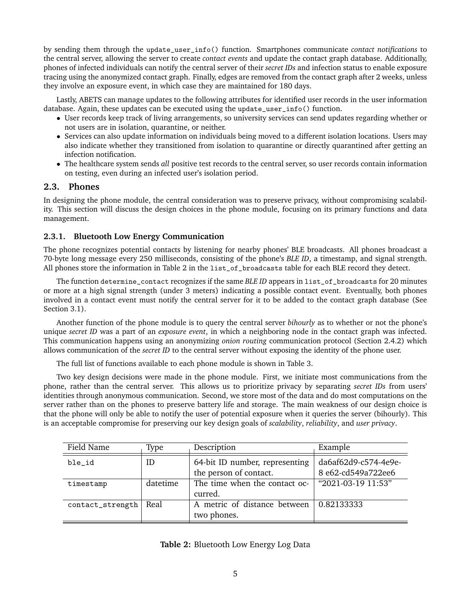by sending them through the update\_user\_info() function. Smartphones communicate *contact notifications* to the central server, allowing the server to create *contact events* and update the contact graph database. Additionally, phones of infected individuals can notify the central server of their *secret IDs* and infection status to enable exposure tracing using the anonymized contact graph. Finally, edges are removed from the contact graph after 2 weeks, unless they involve an exposure event, in which case they are maintained for 180 days.

Lastly, ABETS can manage updates to the following attributes for identified user records in the user information database. Again, these updates can be executed using the update\_user\_info() function.

- User records keep track of living arrangements, so university services can send updates regarding whether or not users are in isolation, quarantine, or neither.
- Services can also update information on individuals being moved to a different isolation locations. Users may also indicate whether they transitioned from isolation to quarantine or directly quarantined after getting an infection notification.
- The healthcare system sends *all* positive test records to the central server, so user records contain information on testing, even during an infected user's isolation period.

#### **2.3. Phones**

In designing the phone module, the central consideration was to preserve privacy, without compromising scalability. This section will discuss the design choices in the phone module, focusing on its primary functions and data management.

#### **2.3.1. Bluetooth Low Energy Communication**

The phone recognizes potential contacts by listening for nearby phones' BLE broadcasts. All phones broadcast a 70-byte long message every 250 milliseconds, consisting of the phone's *BLE ID*, a timestamp, and signal strength. All phones store the information in Table 2 in the list\_of\_broadcasts table for each BLE record they detect.

The function determine\_contact recognizes if the same *BLE ID* appears in list\_of\_broadcasts for 20 minutes or more at a high signal strength (under 3 meters) indicating a possible contact event. Eventually, both phones involved in a contact event must notify the central server for it to be added to the contact graph database (See Section 3.1).

Another function of the phone module is to query the central server *bihourly* as to whether or not the phone's unique *secret ID* was a part of an *exposure event*, in which a neighboring node in the contact graph was infected. This communication happens using an anonymizing *onion routing* communication protocol (Section 2.4.2) which allows communication of the *secret ID* to the central server without exposing the identity of the phone user.

The full list of functions available to each phone module is shown in Table 3.

Two key design decisions were made in the phone module. First, we initiate most communications from the phone, rather than the central server. This allows us to prioritize privacy by separating *secret IDs* from users' identities through anonymous communication. Second, we store most of the data and do most computations on the server rather than on the phones to preserve battery life and storage. The main weakness of our design choice is that the phone will only be able to notify the user of potential exposure when it queries the server (bihourly). This is an acceptable compromise for preserving our key design goals of *scalability*, *reliability*, and *user privacy*.

| Field Name       | Type     | Description                                              | Example                                    |
|------------------|----------|----------------------------------------------------------|--------------------------------------------|
| ble_id           | ID       | 64-bit ID number, representing<br>the person of contact. | da6af62d9-c574-4e9e-<br>8 e62-cd549a722ee6 |
| timestamp        | datetime | The time when the contact oc-<br>curred.                 | "2021-03-19 11:53"                         |
| contact_strength | Real     | A metric of distance between<br>two phones.              | 0.82133333                                 |

**Table 2:** Bluetooth Low Energy Log Data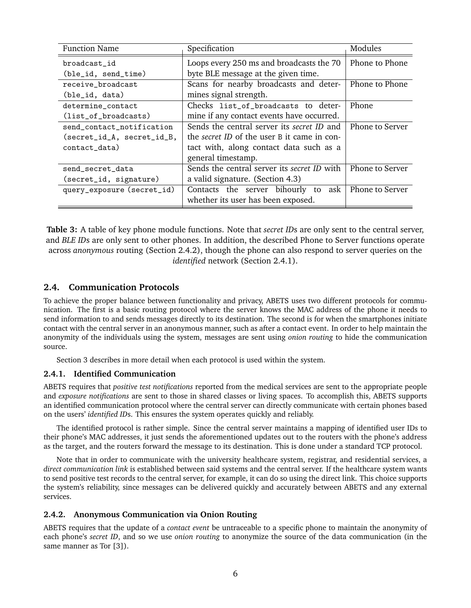| <b>Function Name</b>       | Specification                               | Modules         |
|----------------------------|---------------------------------------------|-----------------|
| broadcast_id               | Loops every 250 ms and broadcasts the 70    | Phone to Phone  |
| (ble_id, send_time)        | byte BLE message at the given time.         |                 |
| receive_broadcast          | Scans for nearby broadcasts and deter-      | Phone to Phone  |
| (ble_id, data)             | mines signal strength.                      |                 |
| determine_contact          | Checks list_of_broadcasts to deter-         | Phone           |
| (list_of_broadcasts)       | mine if any contact events have occurred.   |                 |
| send_contact_notification  | Sends the central server its secret ID and  | Phone to Server |
| (secret_id_A, secret_id_B, | the secret ID of the user B it came in con- |                 |
| contact_data)              | tact with, along contact data such as a     |                 |
|                            | general timestamp.                          |                 |
| send_secret_data           | Sends the central server its secret ID with | Phone to Server |
| (secret_id, signature)     | a valid signature. (Section 4.3)            |                 |
| query_exposure (secret_id) | Contacts the server bihourly to<br>ask      | Phone to Server |
|                            | whether its user has been exposed.          |                 |

**Table 3:** A table of key phone module functions. Note that *secret ID*s are only sent to the central server, and *BLE ID*s are only sent to other phones. In addition, the described Phone to Server functions operate across *anonymous* routing (Section 2.4.2), though the phone can also respond to server queries on the *identified* network (Section 2.4.1).

#### **2.4. Communication Protocols**

To achieve the proper balance between functionality and privacy, ABETS uses two different protocols for communication. The first is a basic routing protocol where the server knows the MAC address of the phone it needs to send information to and sends messages directly to its destination. The second is for when the smartphones initiate contact with the central server in an anonymous manner, such as after a contact event. In order to help maintain the anonymity of the individuals using the system, messages are sent using *onion routing* to hide the communication source.

Section 3 describes in more detail when each protocol is used within the system.

#### **2.4.1. Identified Communication**

ABETS requires that *positive test notifications* reported from the medical services are sent to the appropriate people and *exposure notifications* are sent to those in shared classes or living spaces. To accomplish this, ABETS supports an identified communication protocol where the central server can directly communicate with certain phones based on the users' *identified ID*s. This ensures the system operates quickly and reliably.

The identified protocol is rather simple. Since the central server maintains a mapping of identified user IDs to their phone's MAC addresses, it just sends the aforementioned updates out to the routers with the phone's address as the target, and the routers forward the message to its destination. This is done under a standard TCP protocol.

Note that in order to communicate with the university healthcare system, registrar, and residential services, a *direct communication link* is established between said systems and the central server. If the healthcare system wants to send positive test records to the central server, for example, it can do so using the direct link. This choice supports the system's reliability, since messages can be delivered quickly and accurately between ABETS and any external services.

#### **2.4.2. Anonymous Communication via Onion Routing**

ABETS requires that the update of a *contact event* be untraceable to a specific phone to maintain the anonymity of each phone's *secret ID*, and so we use *onion routing* to anonymize the source of the data communication (in the same manner as Tor [3]).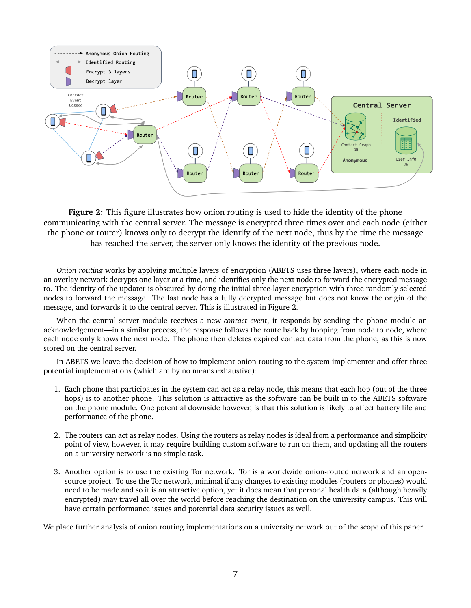

**Figure 2:** This figure illustrates how onion routing is used to hide the identity of the phone communicating with the central server. The message is encrypted three times over and each node (either the phone or router) knows only to decrypt the identify of the next node, thus by the time the message has reached the server, the server only knows the identity of the previous node.

*Onion routing* works by applying multiple layers of encryption (ABETS uses three layers), where each node in an overlay network decrypts one layer at a time, and identifies only the next node to forward the encrypted message to. The identity of the updater is obscured by doing the initial three-layer encryption with three randomly selected nodes to forward the message. The last node has a fully decrypted message but does not know the origin of the message, and forwards it to the central server. This is illustrated in Figure 2.

When the central server module receives a new *contact event*, it responds by sending the phone module an acknowledgement—in a similar process, the response follows the route back by hopping from node to node, where each node only knows the next node. The phone then deletes expired contact data from the phone, as this is now stored on the central server.

In ABETS we leave the decision of how to implement onion routing to the system implementer and offer three potential implementations (which are by no means exhaustive):

- 1. Each phone that participates in the system can act as a relay node, this means that each hop (out of the three hops) is to another phone. This solution is attractive as the software can be built in to the ABETS software on the phone module. One potential downside however, is that this solution is likely to affect battery life and performance of the phone.
- 2. The routers can act as relay nodes. Using the routers as relay nodes is ideal from a performance and simplicity point of view, however, it may require building custom software to run on them, and updating all the routers on a university network is no simple task.
- 3. Another option is to use the existing Tor network. Tor is a worldwide onion-routed network and an opensource project. To use the Tor network, minimal if any changes to existing modules (routers or phones) would need to be made and so it is an attractive option, yet it does mean that personal health data (although heavily encrypted) may travel all over the world before reaching the destination on the university campus. This will have certain performance issues and potential data security issues as well.

We place further analysis of onion routing implementations on a university network out of the scope of this paper.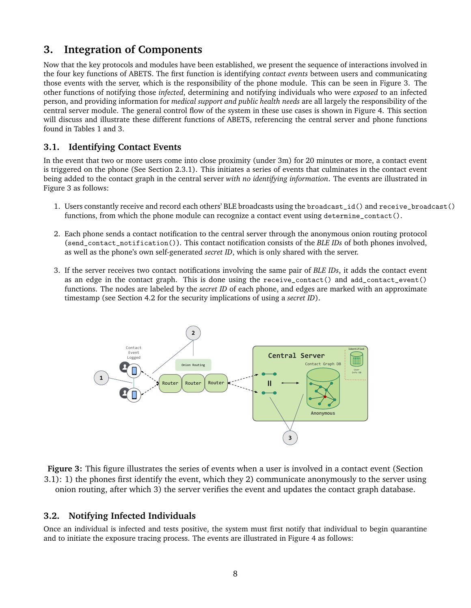# **3. Integration of Components**

Now that the key protocols and modules have been established, we present the sequence of interactions involved in the four key functions of ABETS. The first function is identifying *contact events* between users and communicating those events with the server, which is the responsibility of the phone module. This can be seen in Figure 3. The other functions of notifying those *infected*, determining and notifying individuals who were *exposed* to an infected person, and providing information for *medical support and public health needs* are all largely the responsibility of the central server module. The general control flow of the system in these use cases is shown in Figure 4. This section will discuss and illustrate these different functions of ABETS, referencing the central server and phone functions found in Tables 1 and 3.

### **3.1. Identifying Contact Events**

In the event that two or more users come into close proximity (under 3m) for 20 minutes or more, a contact event is triggered on the phone (See Section 2.3.1). This initiates a series of events that culminates in the contact event being added to the contact graph in the central server *with no identifying information*. The events are illustrated in Figure 3 as follows:

- 1. Users constantly receive and record each others' BLE broadcasts using the broadcast\_id() and receive\_broadcast() functions, from which the phone module can recognize a contact event using determine\_contact().
- 2. Each phone sends a contact notification to the central server through the anonymous onion routing protocol (send\_contact\_notification()). This contact notification consists of the *BLE IDs* of both phones involved, as well as the phone's own self-generated *secret ID*, which is only shared with the server.
- 3. If the server receives two contact notifications involving the same pair of *BLE IDs*, it adds the contact event as an edge in the contact graph. This is done using the receive\_contact() and add\_contact\_event() functions. The nodes are labeled by the *secret ID* of each phone, and edges are marked with an approximate functions. timestamp (see Section 4.2 for the security implications of using a *secret ID*).





### **3.2. Notifying Infected Individuals**

Once an individual is infected and tests positive, the system must first notify that individual to begin quarantine and to initiate the exposure tracing process. The events are illustrated in Figure 4 as follows: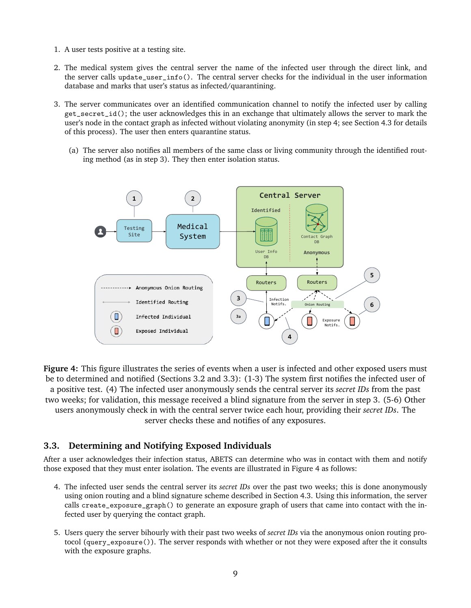- 1. A user tests positive at a testing site.
- 2. The medical system gives the central server the name of the infected user through the direct link, and the server calls update\_user\_info(). The central server checks for the individual in the user information database and marks that user's status as infected/quarantining.
- 3. The server communicates over an identified communication channel to notify the infected user by calling get\_secret\_id(); the user acknowledges this in an exchange that ultimately allows the server to mark the user's node in the contact graph as infected without violating anonymity (in step 4; see Section 4.3 for details of this process). The user then enters quarantine status.
	- (a) The server also notifies all members of the same class or living community through the identified routing method (as in step 3). They then enter isolation status.



**Figure 4:** This figure illustrates the series of events when a user is infected and other exposed users must be to determined and notified (Sections 3.2 and 3.3): (1-3) The system first notifies the infected user of a positive test. (4) The infected user anonymously sends the central server its *secret IDs* from the past two weeks; for validation, this message received a blind signature from the server in step 3. (5-6) Other users anonymously check in with the central server twice each hour, providing their *secret IDs*. The server checks these and notifies of any exposures.

### **3.3. Determining and Notifying Exposed Individuals**

After a user acknowledges their infection status, ABETS can determine who was in contact with them and notify those exposed that they must enter isolation. The events are illustrated in Figure 4 as follows:

- 4. The infected user sends the central server its *secret IDs* over the past two weeks; this is done anonymously using onion routing and a blind signature scheme described in Section 4.3. Using this information, the server calls create\_exposure\_graph() to generate an exposure graph of users that came into contact with the infected user by querying the contact graph.
- 5. Users query the server bihourly with their past two weeks of *secret IDs* via the anonymous onion routing protocol (query\_exposure()). The server responds with whether or not they were exposed after the it consults with the exposure graphs.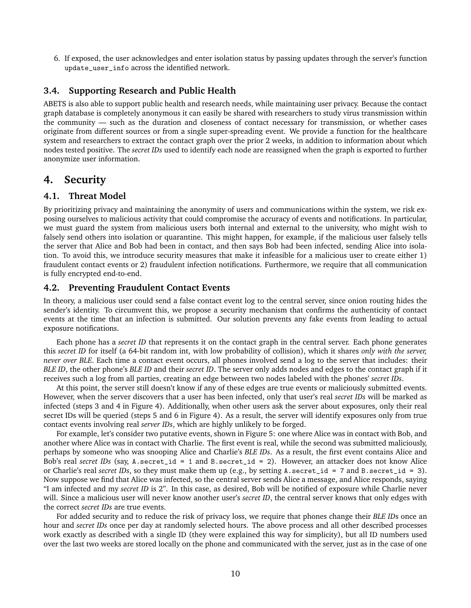6. If exposed, the user acknowledges and enter isolation status by passing updates through the server's function update\_user\_info across the identified network.

#### **3.4. Supporting Research and Public Health**

ABETS is also able to support public health and research needs, while maintaining user privacy. Because the contact graph database is completely anonymous it can easily be shared with researchers to study virus transmission within the community — such as the duration and closeness of contact necessary for transmission, or whether cases originate from different sources or from a single super-spreading event. We provide a function for the healthcare system and researchers to extract the contact graph over the prior 2 weeks, in addition to information about which nodes tested positive. The *secret IDs* used to identify each node are reassigned when the graph is exported to further anonymize user information.

### **4. Security**

#### **4.1. Threat Model**

By prioritizing privacy and maintaining the anonymity of users and communications within the system, we risk exposing ourselves to malicious activity that could compromise the accuracy of events and notifications. In particular, we must guard the system from malicious users both internal and external to the university, who might wish to falsely send others into isolation or quarantine. This might happen, for example, if the malicious user falsely tells the server that Alice and Bob had been in contact, and then says Bob had been infected, sending Alice into isolation. To avoid this, we introduce security measures that make it infeasible for a malicious user to create either 1) fraudulent contact events or 2) fraudulent infection notifications. Furthermore, we require that all communication is fully encrypted end-to-end.

#### **4.2. Preventing Fraudulent Contact Events**

In theory, a malicious user could send a false contact event log to the central server, since onion routing hides the sender's identity. To circumvent this, we propose a security mechanism that confirms the authenticity of contact events at the time that an infection is submitted. Our solution prevents any fake events from leading to actual exposure notifications.

Each phone has a *secret ID* that represents it on the contact graph in the central server. Each phone generates this *secret ID* for itself (a 64-bit random int, with low probability of collision), which it shares *only with the server, never over BLE*. Each time a contact event occurs, all phones involved send a log to the server that includes: their *BLE ID*, the other phone's *BLE ID* and their *secret ID*. The server only adds nodes and edges to the contact graph if it receives such a log from all parties, creating an edge between two nodes labeled with the phones' *secret IDs*.

At this point, the server still doesn't know if any of these edges are true events or maliciously submitted events. However, when the server discovers that a user has been infected, only that user's real *secret IDs* will be marked as infected (steps 3 and 4 in Figure 4). Additionally, when other users ask the server about exposures, only their real secret IDs will be queried (steps 5 and 6 in Figure 4). As a result, the server will identify exposures only from true contact events involving real *server IDs*, which are highly unlikely to be forged.

For example, let's consider two putative events, shown in Figure 5: one where Alice was in contact with Bob, and another where Alice was in contact with Charlie. The first event is real, while the second was submitted maliciously, perhaps by someone who was snooping Alice and Charlie's *BLE IDs*. As a result, the first event contains Alice and Bob's real *secret IDs* (say, A.secret\_id = 1 and B.secret\_id = 2). However, an attacker does not know Alice or Charlie's real *secret IDs*, so they must make them up (e.g., by setting A.secret\_id = 7 and B.secret\_id = 3). Now suppose we find that Alice was infected, so the central server sends Alice a message, and Alice responds, saying "I am infected and my *secret ID* is 2". In this case, as desired, Bob will be notified of exposure while Charlie never will. Since a malicious user will never know another user's *secret ID*, the central server knows that only edges with the correct *secret IDs* are true events.

For added security and to reduce the risk of privacy loss, we require that phones change their *BLE ID*s once an hour and *secret IDs* once per day at randomly selected hours. The above process and all other described processes work exactly as described with a single ID (they were explained this way for simplicity), but all ID numbers used over the last two weeks are stored locally on the phone and communicated with the server, just as in the case of one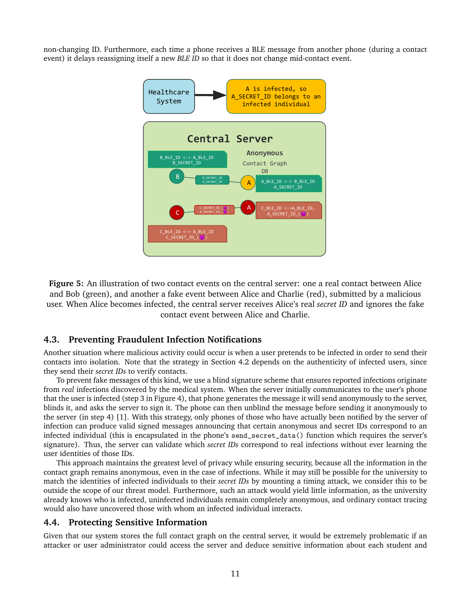non-changing ID. Furthermore, each time a phone receives a BLE message from another phone (during a contact event) it delays reassigning itself a new *BLE ID* so that it does not change mid-contact event.



**Figure 5:** An illustration of two contact events on the central server: one a real contact between Alice and Bob (green), and another a fake event between Alice and Charlie (red), submitted by a malicious user. When Alice becomes infected, the central server receives Alice's real *secret ID* and ignores the fake contact event between Alice and Charlie.

### **4.3. Preventing Fraudulent Infection Notifications**

Another situation where malicious activity could occur is when a user pretends to be infected in order to send their contacts into isolation. Note that the strategy in Section 4.2 depends on the authenticity of infected users, since they send their *secret IDs* to verify contacts.

To prevent fake messages of this kind, we use a blind signature scheme that ensures reported infections originate from *real* infections discovered by the medical system. When the server initially communicates to the user's phone that the user is infected (step 3 in Figure 4), that phone generates the message it will send anonymously to the server, blinds it, and asks the server to sign it. The phone can then unblind the message before sending it anonymously to the server (in step 4) [1]. With this strategy, only phones of those who have actually been notified by the server of infection can produce valid signed messages announcing that certain anonymous and secret IDs correspond to an infected individual (this is encapsulated in the phone's send\_secret\_data() function which requires the server's signature). Thus, the server can validate which *secret IDs* correspond to real infections without ever learning the user identities of those IDs.

This approach maintains the greatest level of privacy while ensuring security, because all the information in the contact graph remains anonymous, even in the case of infections. While it may still be possible for the university to match the identities of infected individuals to their *secret IDs* by mounting a timing attack, we consider this to be outside the scope of our threat model. Furthermore, such an attack would yield little information, as the university already knows who is infected, uninfected individuals remain completely anonymous, and ordinary contact tracing would also have uncovered those with whom an infected individual interacts.

#### **4.4. Protecting Sensitive Information**

Given that our system stores the full contact graph on the central server, it would be extremely problematic if an attacker or user administrator could access the server and deduce sensitive information about each student and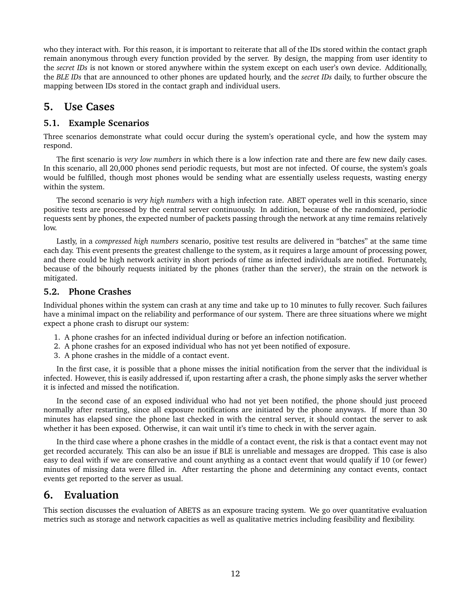who they interact with. For this reason, it is important to reiterate that all of the IDs stored within the contact graph remain anonymous through every function provided by the server. By design, the mapping from user identity to the *secret IDs* is not known or stored anywhere within the system except on each user's own device. Additionally, the *BLE IDs* that are announced to other phones are updated hourly, and the *secret IDs* daily, to further obscure the mapping between IDs stored in the contact graph and individual users.

## **5. Use Cases**

### **5.1. Example Scenarios**

Three scenarios demonstrate what could occur during the system's operational cycle, and how the system may respond.

The first scenario is *very low numbers* in which there is a low infection rate and there are few new daily cases. In this scenario, all 20,000 phones send periodic requests, but most are not infected. Of course, the system's goals would be fulfilled, though most phones would be sending what are essentially useless requests, wasting energy within the system.

The second scenario is *very high numbers* with a high infection rate. ABET operates well in this scenario, since positive tests are processed by the central server continuously. In addition, because of the randomized, periodic requests sent by phones, the expected number of packets passing through the network at any time remains relatively low.

Lastly, in a *compressed high numbers* scenario, positive test results are delivered in "batches" at the same time each day. This event presents the greatest challenge to the system, as it requires a large amount of processing power, and there could be high network activity in short periods of time as infected individuals are notified. Fortunately, because of the bihourly requests initiated by the phones (rather than the server), the strain on the network is mitigated.

### **5.2. Phone Crashes**

Individual phones within the system can crash at any time and take up to 10 minutes to fully recover. Such failures have a minimal impact on the reliability and performance of our system. There are three situations where we might expect a phone crash to disrupt our system:

- 1. A phone crashes for an infected individual during or before an infection notification.
- 2. A phone crashes for an exposed individual who has not yet been notified of exposure.
- 3. A phone crashes in the middle of a contact event.

In the first case, it is possible that a phone misses the initial notification from the server that the individual is infected. However, this is easily addressed if, upon restarting after a crash, the phone simply asks the server whether it is infected and missed the notification.

In the second case of an exposed individual who had not yet been notified, the phone should just proceed normally after restarting, since all exposure notifications are initiated by the phone anyways. If more than 30 minutes has elapsed since the phone last checked in with the central server, it should contact the server to ask whether it has been exposed. Otherwise, it can wait until it's time to check in with the server again.

In the third case where a phone crashes in the middle of a contact event, the risk is that a contact event may not get recorded accurately. This can also be an issue if BLE is unreliable and messages are dropped. This case is also easy to deal with if we are conservative and count anything as a contact event that would qualify if 10 (or fewer) minutes of missing data were filled in. After restarting the phone and determining any contact events, contact events get reported to the server as usual.

## **6. Evaluation**

This section discusses the evaluation of ABETS as an exposure tracing system. We go over quantitative evaluation metrics such as storage and network capacities as well as qualitative metrics including feasibility and flexibility.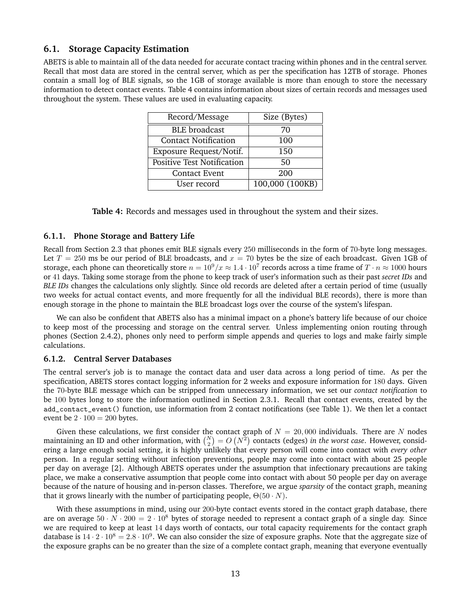#### **6.1. Storage Capacity Estimation**

ABETS is able to maintain all of the data needed for accurate contact tracing within phones and in the central server. Recall that most data are stored in the central server, which as per the specification has 12TB of storage. Phones contain a small log of BLE signals, so the 1GB of storage available is more than enough to store the necessary information to detect contact events. Table 4 contains information about sizes of certain records and messages used throughout the system. These values are used in evaluating capacity.

| Record/Message                    | Size (Bytes)    |  |  |
|-----------------------------------|-----------------|--|--|
| <b>BLE</b> broadcast              | 70              |  |  |
| <b>Contact Notification</b>       | 100             |  |  |
| Exposure Request/Notif.           | 150             |  |  |
| <b>Positive Test Notification</b> | 50              |  |  |
| <b>Contact Event</b>              | 200             |  |  |
| User record                       | 100,000 (100KB) |  |  |

|  |  |  | Table 4: Records and messages used in throughout the system and their sizes. |
|--|--|--|------------------------------------------------------------------------------|
|  |  |  |                                                                              |

#### **6.1.1. Phone Storage and Battery Life**

Recall from Section 2.3 that phones emit BLE signals every 250 milliseconds in the form of 70-byte long messages. Let  $T = 250$  ms be our period of BLE broadcasts, and  $x = 70$  bytes be the size of each broadcast. Given 1GB of storage, each phone can theoretically store  $n=10^9/x\approx 1.4\cdot 10^7$  records across a time frame of  $T\cdot n\approx 1000$  hours or 41 days. Taking some storage from the phone to keep track of user's information such as their past *secret IDs* and *BLE IDs* changes the calculations only slightly. Since old records are deleted after a certain period of time (usually two weeks for actual contact events, and more frequently for all the individual BLE records), there is more than enough storage in the phone to maintain the BLE broadcast logs over the course of the system's lifespan.

We can also be confident that ABETS also has a minimal impact on a phone's battery life because of our choice to keep most of the processing and storage on the central server. Unless implementing onion routing through phones (Section 2.4.2), phones only need to perform simple appends and queries to logs and make fairly simple calculations.

#### **6.1.2. Central Server Databases**

The central server's job is to manage the contact data and user data across a long period of time. As per the specification, ABETS stores contact logging information for 2 weeks and exposure information for 180 days. Given the 70-byte BLE message which can be stripped from unnecessary information, we set our *contact notification* to be 100 bytes long to store the information outlined in Section 2.3.1. Recall that contact events, created by the add\_contact\_event() function, use information from 2 contact notifications (see Table 1). We then let a contact event be  $2 \cdot 100 = 200$  bytes.

Given these calculations, we first consider the contact graph of  $N = 20,000$  individuals. There are N nodes maintaining an ID and other information, with  $\binom{N}{2} = O(N^2)$  contacts (edges) *in the worst case*. However, considering a large enough social setting, it is highly unlikely that every person will come into contact with *every other* person. In a regular setting without infection preventions, people may come into contact with about 25 people per day on average [2]. Although ABETS operates under the assumption that infectionary precautions are taking place, we make a conservative assumption that people come into contact with about 50 people per day on average because of the nature of housing and in-person classes. Therefore, we argue *sparsity* of the contact graph, meaning that it grows linearly with the number of participating people,  $\Theta(50 \cdot N)$ .

With these assumptions in mind, using our 200-byte contact events stored in the contact graph database, there are on average  $50 \cdot N \cdot 200 = 2 \cdot 10^8$  bytes of storage needed to represent a contact graph of a single day. Since we are required to keep at least 14 days worth of contacts, our total capacity requirements for the contact graph database is 14  $\cdot$  2  $\cdot$  10<sup>8</sup> = 2.8  $\cdot$  10<sup>9</sup>. We can also consider the size of exposure graphs. Note that the aggregate size of the exposure graphs can be no greater than the size of a complete contact graph, meaning that everyone eventually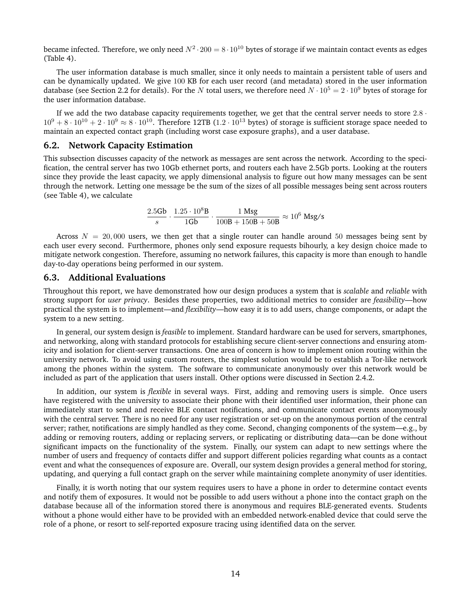became infected. Therefore, we only need  $N^2 \cdot 200 = 8 \cdot 10^{10}$  bytes of storage if we maintain contact events as edges (Table 4).

The user information database is much smaller, since it only needs to maintain a persistent table of users and can be dynamically updated. We give 100 KB for each user record (and metadata) stored in the user information database (see Section 2.2 for details). For the N total users, we therefore need  $N \cdot 10^5 = 2 \cdot 10^9$  bytes of storage for the user information database.

If we add the two database capacity requirements together, we get that the central server needs to store  $2.8 \cdot$  $10^9 + 8 \cdot 10^{10} + 2 \cdot 10^9 \approx 8 \cdot 10^{10}$ . Therefore 12TB (1.2 · 10<sup>13</sup> bytes) of storage is sufficient storage space needed to maintain an expected contact graph (including worst case exposure graphs), and a user database.

#### **6.2. Network Capacity Estimation**

This subsection discusses capacity of the network as messages are sent across the network. According to the specification, the central server has two 10Gb ethernet ports, and routers each have 2.5Gb ports. Looking at the routers since they provide the least capacity, we apply dimensional analysis to figure out how many messages can be sent through the network. Letting one message be the sum of the sizes of all possible messages being sent across routers (see Table 4), we calculate

$$
\frac{2.5{\text{Gb}}}{s} \cdot \frac{1.25 \cdot 10^8{\text{B}}}{1{\text{Gb}}} \cdot \frac{1{\text{ Msg}}}{100{\text{B}} + 150{\text{B}} + 50{\text{B}}} \approx 10^6{\text{ Msg/s}}
$$

Across  $N = 20,000$  users, we then get that a single router can handle around 50 messages being sent by each user every second. Furthermore, phones only send exposure requests bihourly, a key design choice made to mitigate network congestion. Therefore, assuming no network failures, this capacity is more than enough to handle day-to-day operations being performed in our system.

#### **6.3. Additional Evaluations**

Throughout this report, we have demonstrated how our design produces a system that is *scalable* and *reliable* with strong support for *user privacy*. Besides these properties, two additional metrics to consider are *feasibility*—how practical the system is to implement—and *flexibility*—how easy it is to add users, change components, or adapt the system to a new setting.

In general, our system design is *feasible* to implement. Standard hardware can be used for servers, smartphones, and networking, along with standard protocols for establishing secure client-server connections and ensuring atomicity and isolation for client-server transactions. One area of concern is how to implement onion routing within the university network. To avoid using custom routers, the simplest solution would be to establish a Tor-like network among the phones within the system. The software to communicate anonymously over this network would be included as part of the application that users install. Other options were discussed in Section 2.4.2.

In addition, our system is *flexible* in several ways. First, adding and removing users is simple. Once users have registered with the university to associate their phone with their identified user information, their phone can immediately start to send and receive BLE contact notifications, and communicate contact events anonymously with the central server. There is no need for any user registration or set-up on the anonymous portion of the central server; rather, notifications are simply handled as they come. Second, changing components of the system—e.g., by adding or removing routers, adding or replacing servers, or replicating or distributing data—can be done without significant impacts on the functionality of the system. Finally, our system can adapt to new settings where the number of users and frequency of contacts differ and support different policies regarding what counts as a contact event and what the consequences of exposure are. Overall, our system design provides a general method for storing, updating, and querying a full contact graph on the server while maintaining complete anonymity of user identities.

Finally, it is worth noting that our system requires users to have a phone in order to determine contact events and notify them of exposures. It would not be possible to add users without a phone into the contact graph on the database because all of the information stored there is anonymous and requires BLE-generated events. Students without a phone would either have to be provided with an embedded network-enabled device that could serve the role of a phone, or resort to self-reported exposure tracing using identified data on the server.